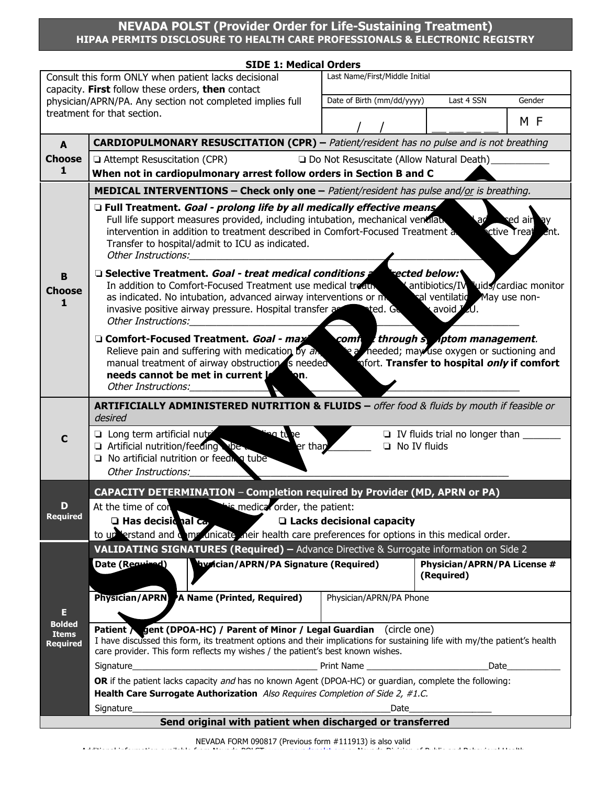## **NEVADA POLST (Provider Order for Life-Sustaining Treatment) HIPAA PERMITS DISCLOSURE TO HEALTH CARE PROFESSIONALS & ELECTRONIC REGISTRY**

|                                                                                        | <b>SIDE 1: Medical Orders</b>                                                                                                                                                                                                                                                                                                                                                                                                               |                                                                 |        |  |  |  |  |
|----------------------------------------------------------------------------------------|---------------------------------------------------------------------------------------------------------------------------------------------------------------------------------------------------------------------------------------------------------------------------------------------------------------------------------------------------------------------------------------------------------------------------------------------|-----------------------------------------------------------------|--------|--|--|--|--|
| Last Name/First/Middle Initial<br>Consult this form ONLY when patient lacks decisional |                                                                                                                                                                                                                                                                                                                                                                                                                                             |                                                                 |        |  |  |  |  |
|                                                                                        | capacity. First follow these orders, then contact<br>physician/APRN/PA. Any section not completed implies full                                                                                                                                                                                                                                                                                                                              | Date of Birth (mm/dd/yyyy)<br>Last 4 SSN                        | Gender |  |  |  |  |
|                                                                                        | treatment for that section.                                                                                                                                                                                                                                                                                                                                                                                                                 |                                                                 |        |  |  |  |  |
|                                                                                        |                                                                                                                                                                                                                                                                                                                                                                                                                                             |                                                                 | M F    |  |  |  |  |
| A                                                                                      | <b>CARDIOPULMONARY RESUSCITATION (CPR)</b> - Patient/resident has no pulse and is not breathing                                                                                                                                                                                                                                                                                                                                             |                                                                 |        |  |  |  |  |
| <b>Choose</b>                                                                          | Attempt Resuscitation (CPR)<br>□ Do Not Resuscitate (Allow Natural Death)                                                                                                                                                                                                                                                                                                                                                                   |                                                                 |        |  |  |  |  |
| 1                                                                                      | When not in cardiopulmonary arrest follow orders in Section B and C                                                                                                                                                                                                                                                                                                                                                                         |                                                                 |        |  |  |  |  |
|                                                                                        | <b>MEDICAL INTERVENTIONS – Check only one –</b> Patient/resident has pulse and/or is breathing.                                                                                                                                                                                                                                                                                                                                             |                                                                 |        |  |  |  |  |
| в<br><b>Choose</b><br>1                                                                | □ Full Treatment. Goal - prolong life by all medically effective means<br>Full life support measures provided, including intubation, mechanical ventilation<br>sed air<br>аc<br><b>ective</b> Treat<br>intervention in addition to treatment described in Comfort-Focused Treatment and<br>ent.<br>Transfer to hospital/admit to ICU as indicated.<br>Other Instructions:__________                                                         |                                                                 |        |  |  |  |  |
|                                                                                        | □ Selective Treatment. Goal - treat medical conditions a<br>rected below:<br>In addition to Comfort-Focused Treatment use medical treath <b>American</b> Antibiotics/IV Juids/cardiac monitor<br>as indicated. No intubation, advanced airway interventions or moderal ventilation May use non-<br>invasive positive airway pressure. Hospital transfer $\epsilon$ and transfer ted. Get a avoid $\ell$ 0.<br>Other Instructions:           |                                                                 |        |  |  |  |  |
|                                                                                        | <b>Example 2 community</b> through symptom management.<br>□ Comfort-Focused Treatment. Goal - max<br>Relieve pain and suffering with medication by $\partial x$ and $\partial y$ are meeded; may use oxygen or suctioning and<br>manual treatment of airway obstruction is needed<br>mfort. Transfer to hospital only if comfort<br><b>Solon</b><br>needs cannot be met in current <b>la</b><br>Other Instructions: University of the China |                                                                 |        |  |  |  |  |
| C                                                                                      | <b>ARTIFICIALLY ADMINISTERED NUTRITION &amp; FLUIDS</b> - offer food & fluids by mouth if feasible or<br>desired                                                                                                                                                                                                                                                                                                                            |                                                                 |        |  |  |  |  |
|                                                                                        | □ Long term artificial nutri<br>ng tune<br>Artificial nutrition/feeding libe.<br>er than<br>$\Box$ No artificial nutrition or feed a tube<br><b>Other Instructions:</b>                                                                                                                                                                                                                                                                     | □ IV fluids trial no longer than _______<br>$\Box$ No IV fluids |        |  |  |  |  |
|                                                                                        |                                                                                                                                                                                                                                                                                                                                                                                                                                             |                                                                 |        |  |  |  |  |
| D                                                                                      | <b>CAPACITY DETERMINATION - Completion required by Provider (MD, APRN or PA)</b><br>is medical order, the patient:<br>At the time of con                                                                                                                                                                                                                                                                                                    |                                                                 |        |  |  |  |  |
| <b>Required</b>                                                                        | $\Box$ Has decisional $ca$                                                                                                                                                                                                                                                                                                                                                                                                                  | □ Lacks decisional capacity                                     |        |  |  |  |  |
|                                                                                        | to up erstand and one unicate their health care preferences for options in this medical order.                                                                                                                                                                                                                                                                                                                                              |                                                                 |        |  |  |  |  |
|                                                                                        | <b>VALIDATING SIGNATURES (Required) - Advance Directive &amp; Surrogate information on Side 2</b>                                                                                                                                                                                                                                                                                                                                           |                                                                 |        |  |  |  |  |
| E                                                                                      | hydician/APRN/PA Signature (Required)<br>Date (Required)                                                                                                                                                                                                                                                                                                                                                                                    | Physician/APRN/PA License #<br>(Required)                       |        |  |  |  |  |
|                                                                                        | Physician/APRN A Name (Printed, Required)                                                                                                                                                                                                                                                                                                                                                                                                   | Physician/APRN/PA Phone                                         |        |  |  |  |  |
| <b>Bolded</b><br><b>Items</b><br><b>Required</b>                                       | Patient / gent (DPOA-HC) / Parent of Minor / Legal Guardian (circle one)<br>I have discussed this form, its treatment options and their implications for sustaining life with my/the patient's health<br>care provider. This form reflects my wishes / the patient's best known wishes.                                                                                                                                                     |                                                                 |        |  |  |  |  |
|                                                                                        | <b>Example 2018</b> Print Name 2018 19:30 Print Name<br>Signature                                                                                                                                                                                                                                                                                                                                                                           | Date                                                            |        |  |  |  |  |
|                                                                                        | OR if the patient lacks capacity and has no known Agent (DPOA-HC) or guardian, complete the following:                                                                                                                                                                                                                                                                                                                                      |                                                                 |        |  |  |  |  |
|                                                                                        | Health Care Surrogate Authorization Also Requires Completion of Side 2, #1.C.                                                                                                                                                                                                                                                                                                                                                               |                                                                 |        |  |  |  |  |
| Signature<br>Date                                                                      |                                                                                                                                                                                                                                                                                                                                                                                                                                             |                                                                 |        |  |  |  |  |
| Send original with patient when discharged or transferred                              |                                                                                                                                                                                                                                                                                                                                                                                                                                             |                                                                 |        |  |  |  |  |